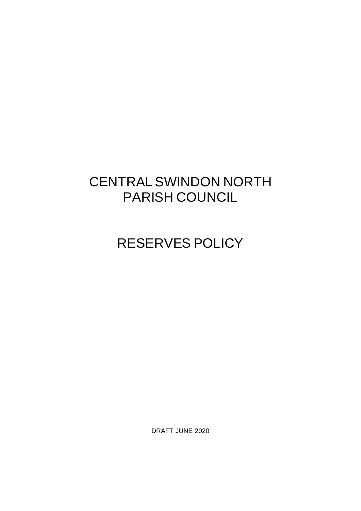## CENTRAL SWINDON NORTH PARISH COUNCIL

# RESERVES POLICY

DRAFT JUNE 2020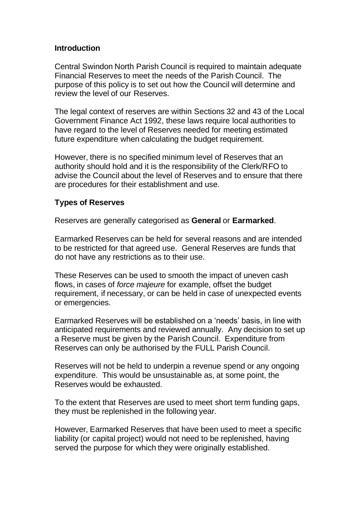#### **Introduction**

Central Swindon North Parish Council is required to maintain adequate Financial Reserves to meet the needs of the Parish Council. The purpose of this policy is to set out how the Council will determine and review the level of our Reserves.

The legal context of reserves are within Sections 32 and 43 of the Local Government Finance Act 1992, these laws require local authorities to have regard to the level of Reserves needed for meeting estimated future expenditure when calculating the budget requirement.

However, there is no specified minimum level of Reserves that an authority should hold and it is the responsibility of the Clerk/RFO to advise the Council about the level of Reserves and to ensure that there are procedures for their establishment and use.

#### **Types of Reserves**

Reserves are generally categorised as **General** or **Earmarked**.

Earmarked Reserves can be held for several reasons and are intended to be restricted for that agreed use. General Reserves are funds that do not have any restrictions as to their use.

These Reserves can be used to smooth the impact of uneven cash flows, in cases of *force majeure* for example, offset the budget requirement, if necessary, or can be held in case of unexpected events or emergencies.

Earmarked Reserves will be established on a 'needs' basis, in line with anticipated requirements and reviewed annually. Any decision to set up a Reserve must be given by the Parish Council. Expenditure from Reserves can only be authorised by the FULL Parish Council.

Reserves will not be held to underpin a revenue spend or any ongoing expenditure. This would be unsustainable as, at some point, the Reserves would be exhausted.

To the extent that Reserves are used to meet short term funding gaps, they must be replenished in the following year.

However, Earmarked Reserves that have been used to meet a specific liability (or capital project) would not need to be replenished, having served the purpose for which they were originally established.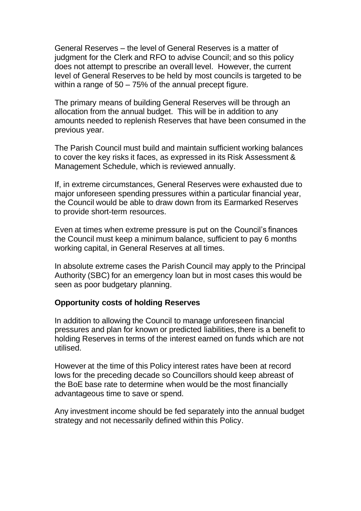General Reserves – the level of General Reserves is a matter of judgment for the Clerk and RFO to advise Council; and so this policy does not attempt to prescribe an overall level. However, the current level of General Reserves to be held by most councils is targeted to be within a range of 50 – 75% of the annual precept figure.

The primary means of building General Reserves will be through an allocation from the annual budget. This will be in addition to any amounts needed to replenish Reserves that have been consumed in the previous year.

The Parish Council must build and maintain sufficient working balances to cover the key risks it faces, as expressed in its Risk Assessment & Management Schedule, which is reviewed annually.

If, in extreme circumstances, General Reserves were exhausted due to major unforeseen spending pressures within a particular financial year, the Council would be able to draw down from its Earmarked Reserves to provide short-term resources.

Even at times when extreme pressure is put on the Council's finances the Council must keep a minimum balance, sufficient to pay 6 months working capital, in General Reserves at all times.

In absolute extreme cases the Parish Council may apply to the Principal Authority (SBC) for an emergency loan but in most cases this would be seen as poor budgetary planning.

#### **Opportunity costs of holding Reserves**

In addition to allowing the Council to manage unforeseen financial pressures and plan for known or predicted liabilities, there is a benefit to holding Reserves in terms of the interest earned on funds which are not utilised.

However at the time of this Policy interest rates have been at record lows for the preceding decade so Councillors should keep abreast of the BoE base rate to determine when would be the most financially advantageous time to save or spend.

Any investment income should be fed separately into the annual budget strategy and not necessarily defined within this Policy.